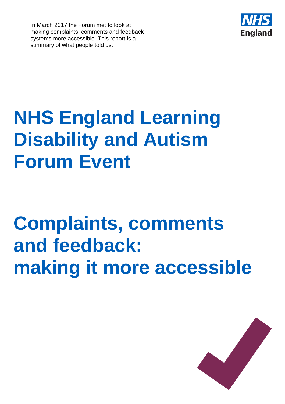In March 2017 the Forum met to look at making complaints, comments and feedback systems more accessible. This report is a summary of what people told us.



# **NHS England Learning Disability and Autism Forum Event**

# **Complaints, comments and feedback: making it more accessible**

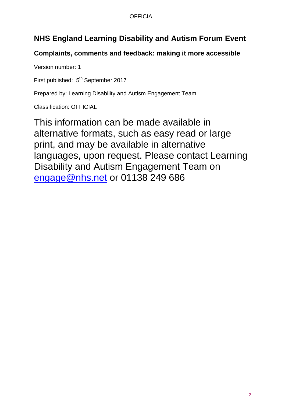#### **OFFICIAL**

## **NHS England Learning Disability and Autism Forum Event**

## **Complaints, comments and feedback: making it more accessible**

Version number: 1

First published: 5<sup>th</sup> September 2017

Prepared by: Learning Disability and Autism Engagement Team

Classification: OFFICIAL

This information can be made available in alternative formats, such as easy read or large print, and may be available in alternative languages, upon request. Please contact Learning Disability and Autism Engagement Team on [engage@nhs.net](mailto:engage@nhs.net) or 01138 249 686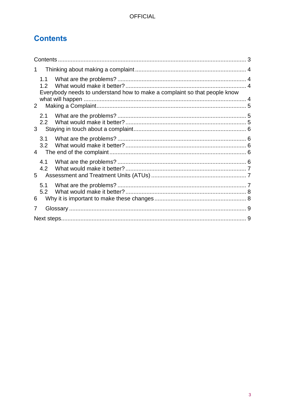## <span id="page-2-0"></span>**Contents**

| 1.                                                                               |  |
|----------------------------------------------------------------------------------|--|
| 1.2<br>Everybody needs to understand how to make a complaint so that people know |  |
| $2^{\circ}$                                                                      |  |
| 2.1<br>2.2<br>3                                                                  |  |
| 3.1<br>3.2<br>$\overline{4}$                                                     |  |
| 4.1<br>4.2<br>5                                                                  |  |
| 5.1<br>5.2<br>6                                                                  |  |
| 7                                                                                |  |
|                                                                                  |  |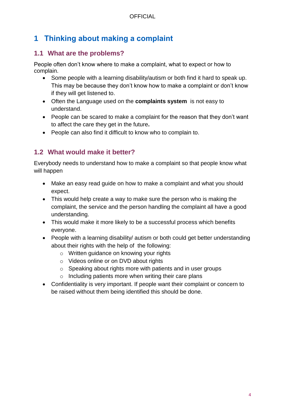## <span id="page-3-0"></span>**1 Thinking about making a complaint**

### <span id="page-3-1"></span>**1.1 What are the problems?**

People often don't know where to make a complaint, what to expect or how to complain.

- Some people with a learning disability/autism or both find it hard to speak up. This may be because they don't know how to make a complaint or don't know if they will get listened to.
- Often the Language used on the **complaints system** is not easy to understand.
- People can be scared to make a complaint for the reason that they don't want to affect the care they get in the future**.**
- People can also find it difficult to know who to complain to.

### <span id="page-3-2"></span>**1.2 What would make it better?**

<span id="page-3-3"></span>Everybody needs to understand how to make a complaint so that people know what will happen

- Make an easy read guide on how to make a complaint and what you should expect.
- This would help create a way to make sure the person who is making the complaint, the service and the person handling the complaint all have a good understanding.
- This would make it more likely to be a successful process which benefits everyone.
- People with a learning disability/ autism or both could get better understanding about their rights with the help of the following:
	- o Written guidance on knowing your rights
	- o Videos online or on DVD about rights
	- o Speaking about rights more with patients and in user groups
	- $\circ$  Including patients more when writing their care plans
- Confidentiality is very important. If people want their complaint or concern to be raised without them being identified this should be done.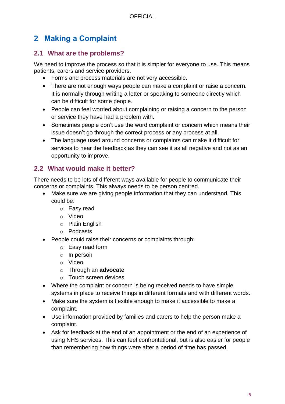## <span id="page-4-0"></span>**2 Making a Complaint**

### <span id="page-4-1"></span>**2.1 What are the problems?**

We need to improve the process so that it is simpler for everyone to use. This means patients, carers and service providers.

- Forms and process materials are not very accessible.
- There are not enough ways people can make a complaint or raise a concern. It is normally through writing a letter or speaking to someone directly which can be difficult for some people.
- People can feel worried about complaining or raising a concern to the person or service they have had a problem with.
- Sometimes people don't use the word complaint or concern which means their issue doesn't go through the correct process or any process at all.
- The language used around concerns or complaints can make it difficult for services to hear the feedback as they can see it as all negative and not as an opportunity to improve.

## <span id="page-4-2"></span>**2.2 What would make it better?**

There needs to be lots of different ways available for people to communicate their concerns or complaints. This always needs to be person centred.

- Make sure we are giving people information that they can understand. This could be:
	- o Easy read
	- o Video
	- o Plain English
	- o Podcasts
- People could raise their concerns or complaints through:
	- o Easy read form
	- o In person
	- o Video
	- o Through an **advocate**
	- o Touch screen devices
- Where the complaint or concern is being received needs to have simple systems in place to receive things in different formats and with different words.
- Make sure the system is flexible enough to make it accessible to make a complaint.
- Use information provided by families and carers to help the person make a complaint.
- Ask for feedback at the end of an appointment or the end of an experience of using NHS services. This can feel confrontational, but is also easier for people than remembering how things were after a period of time has passed.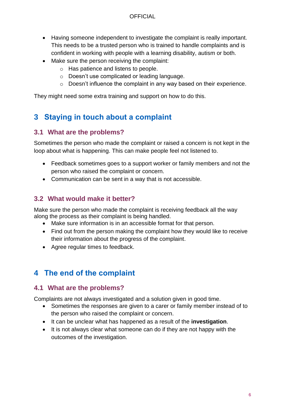#### **OFFICIAL**

- Having someone independent to investigate the complaint is really important. This needs to be a trusted person who is trained to handle complaints and is confident in working with people with a learning disability, autism or both.
- Make sure the person receiving the complaint:
	- o Has patience and listens to people.
	- o Doesn't use complicated or leading language.
	- o Doesn't influence the complaint in any way based on their experience.

They might need some extra training and support on how to do this.

## <span id="page-5-0"></span>**3 Staying in touch about a complaint**

#### <span id="page-5-1"></span>**3.1 What are the problems?**

Sometimes the person who made the complaint or raised a concern is not kept in the loop about what is happening. This can make people feel not listened to.

- Feedback sometimes goes to a support worker or family members and not the person who raised the complaint or concern.
- Communication can be sent in a way that is not accessible.

### <span id="page-5-2"></span>**3.2 What would make it better?**

Make sure the person who made the complaint is receiving feedback all the way along the process as their complaint is being handled.

- Make sure information is in an accessible format for that person.
- Find out from the person making the complaint how they would like to receive their information about the progress of the complaint.
- Agree regular times to feedback.

## <span id="page-5-3"></span>**4 The end of the complaint**

### <span id="page-5-4"></span>**4.1 What are the problems?**

Complaints are not always investigated and a solution given in good time.

- Sometimes the responses are given to a carer or family member instead of to the person who raised the complaint or concern.
- It can be unclear what has happened as a result of the **investigation**.
- It is not always clear what someone can do if they are not happy with the outcomes of the investigation.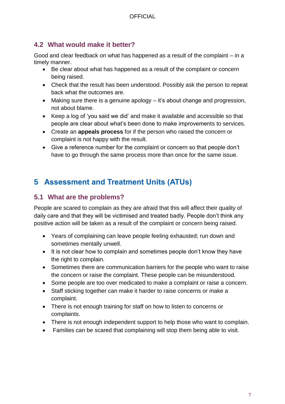### <span id="page-6-0"></span>**4.2 What would make it better?**

Good and clear feedback on what has happened as a result of the complaint – in a timely manner.

- Be clear about what has happened as a result of the complaint or concern being raised.
- Check that the result has been understood. Possibly ask the person to repeat back what the outcomes are.
- Making sure there is a genuine apology it's about change and progression, not about blame.
- Keep a log of 'you said we did' and make it available and accessible so that people are clear about what's been done to make improvements to services.
- Create an **appeals process** for if the person who raised the concern or complaint is not happy with the result.
- Give a reference number for the complaint or concern so that people don't have to go through the same process more than once for the same issue.

## <span id="page-6-1"></span>**5 Assessment and Treatment Units (ATUs)**

### <span id="page-6-2"></span>**5.1 What are the problems?**

People are scared to complain as they are afraid that this will affect their quality of daily care and that they will be victimised and treated badly. People don't think any positive action will be taken as a result of the complaint or concern being raised.

- Years of complaining can leave people feeling exhausted; run down and sometimes mentally unwell.
- It is not clear how to complain and sometimes people don't know they have the right to complain.
- Sometimes there are communication barriers for the people who want to raise the concern or raise the complaint. These people can be misunderstood.
- Some people are too over medicated to make a complaint or raise a concern.
- Staff sticking together can make it harder to raise concerns or make a complaint.
- There is not enough training for staff on how to listen to concerns or complaints.
- There is not enough independent support to help those who want to complain.
- Families can be scared that complaining will stop them being able to visit.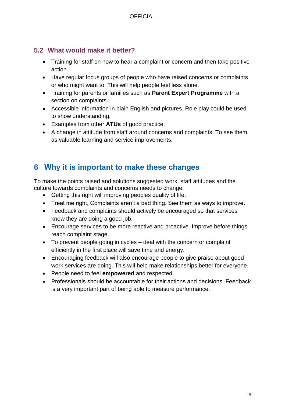## <span id="page-7-0"></span>**5.2 What would make it better?**

- Training for staff on how to hear a complaint or concern and then take positive action.
- Have regular focus groups of people who have raised concerns or complaints or who might want to. This will help people feel less alone.
- Training for parents or families such as **Parent Expert Programme** with a section on complaints.
- Accessible information in plain English and pictures. Role play could be used to show understanding.
- Examples from other **ATUs** of good practice.
- A change in attitude from staff around concerns and complaints. To see them as valuable learning and service improvements.

## <span id="page-7-1"></span>**6 Why it is important to make these changes**

To make the points raised and solutions suggested work, staff attitudes and the culture towards complaints and concerns needs to change.

- Getting this right will improving peoples quality of life.
- Treat me right, Complaints aren't a bad thing. See them as ways to improve.
- Feedback and complaints should actively be encouraged so that services know they are doing a good job.
- Encourage services to be more reactive and proactive. Improve before things reach complaint stage.
- To prevent people going in cycles deal with the concern or complaint efficiently in the first place will save time and energy.
- Encouraging feedback will also encourage people to give praise about good work services are doing. This will help make relationships better for everyone.
- People need to feel **empowered** and respected.
- Professionals should be accountable for their actions and decisions. Feedback is a very important part of being able to measure performance.